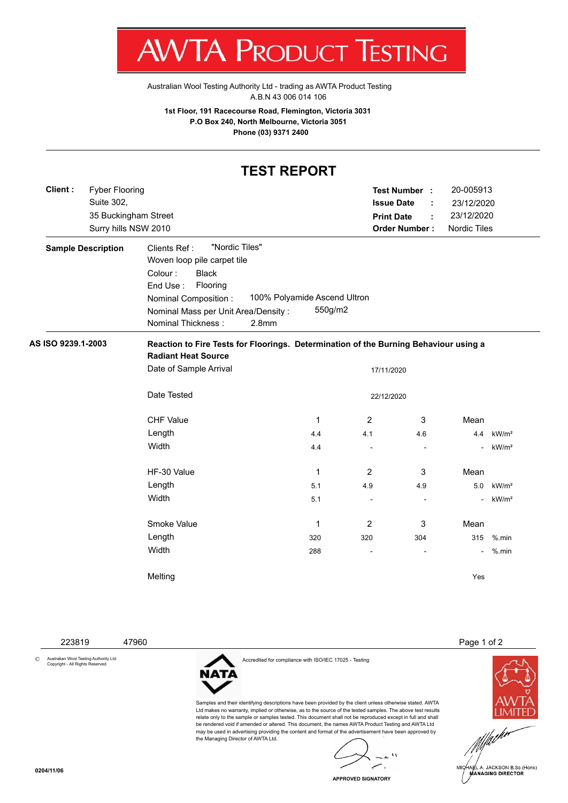:STING

[Australian Wool Testing Authority Ltd - trading as AWTA Product Testing](http://www.awtaproducttesting.com.au/) A.B.N 43 006 014 106

**1st Floor, 191 Racecourse Road, Flemington, Victoria 3031 P.O Box 240, North Melbourne, Victoria 3051 Phone (03) 9371 2400**

## **TEST REPORT Test Number : Issue Date :** 35 Buckingham Street **Print Date :** 23/12/2020 **Order Number :** Nordic Tiles Surry hills NSW 2010 **Sample Description** Clients Ref: "Nordic Tiles" Woven loop pile carpet tile

| Colour:              | <b>Black</b>                        |                              |         |
|----------------------|-------------------------------------|------------------------------|---------|
| End Use:             | Flooring                            |                              |         |
| Nominal Composition: |                                     | 100% Polyamide Ascend Ultron |         |
|                      | Nominal Mass per Unit Area/Density: |                              | 550g/m2 |
| Nominal Thickness:   |                                     | 2.8 <sub>mm</sub>            |         |

**Client :**

Suite 302,

Fyber Flooring

## **AS ISO 9239.1-2003 Reaction to Fire Tests for Floorings. Determination of the Burning Behaviour using a Radiant Heat Source**

| Date of Sample Arrival |              |                          |                          |        |                   |
|------------------------|--------------|--------------------------|--------------------------|--------|-------------------|
| Date Tested            | 22/12/2020   |                          |                          |        |                   |
| <b>CHF Value</b>       | 1            | $\overline{2}$           | 3                        | Mean   |                   |
| Length                 | 4.4          | 4.1                      | 4.6                      | 4.4    | kW/m <sup>2</sup> |
| Width                  | 4.4          | $\overline{\phantom{a}}$ | ٠                        | $\sim$ | kW/m <sup>2</sup> |
| HF-30 Value            | 1            | 2                        | 3                        | Mean   |                   |
| Length                 | 5.1          | 4.9                      | 4.9                      | 5.0    | kW/m <sup>2</sup> |
| Width                  | 5.1          | $\overline{\phantom{a}}$ | $\overline{\phantom{a}}$ | $\sim$ | kW/m <sup>2</sup> |
| Smoke Value            | $\mathbf{1}$ | $\overline{2}$           | 3                        | Mean   |                   |
| Length                 | 320          | 320                      | 304                      | 315    | $%$ .min          |
| Width                  | 288          | $\overline{\phantom{a}}$ | ۰                        | $\sim$ | $%$ .min          |
| Melting                |              |                          |                          | Yes    |                   |

Accredited for compliance with ISO/IEC 17025 - Testing

the Managing Director of AWTA Ltd.

NAT/

Samples and their identifying descriptions have been provided by the client unless otherwise stated. AWTA Ltd makes no warranty, implied or otherwise, as to the source of the tested samples. The above test results relate only to the sample or samples tested. This document shall not be reproduced except in full and shall be rendered void if amended or altered. This document, the names AWTA Product Testing and AWTA Ltd may be used in advertising providing the content and format of the advertisement have been approved by

© Australian Wool Testing Authority Ltd Copyright - All Rights Reserved

223819 47960 Page 1 of 2

20-005913

23/12/2020





A. JACKSON B.Sc.(Hons) **MANAGING DIRECTOR** 

**APPROVED SIGNATORY**

**0204/11/06**